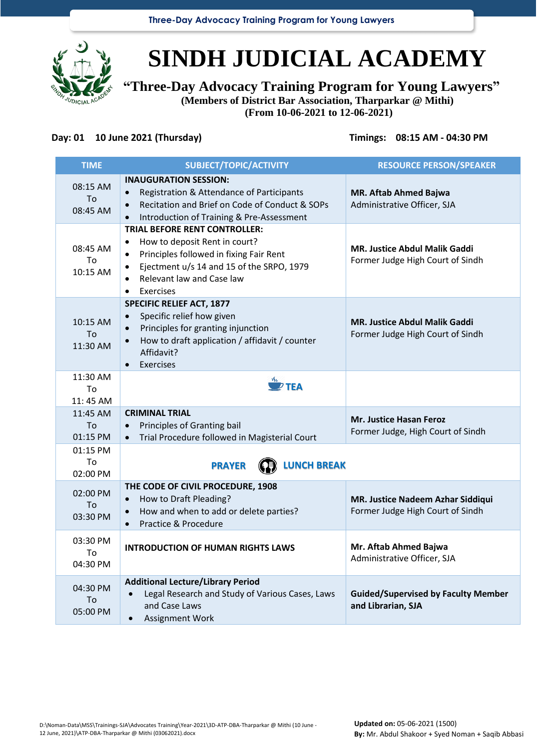**Three-Day Advocacy Training Program for Young Lawyers**



# **SINDH JUDICIAL ACADEMY**

**"Three-Day Advocacy Training Program for Young Lawyers" (Members of District Bar Association, Tharparkar @ Mithi)**

**(From 10-06-2021 to 12-06-2021)**

## **Day: 01 10 June 2021 (Thursday) Timings: 08:15 AM - 04:30 PM**

| <b>TIME</b>                | SUBJECT/TOPIC/ACTIVITY                                                                                                                                                                                                                                             | <b>RESOURCE PERSON/SPEAKER</b>                                           |
|----------------------------|--------------------------------------------------------------------------------------------------------------------------------------------------------------------------------------------------------------------------------------------------------------------|--------------------------------------------------------------------------|
| 08:15 AM<br>To<br>08:45 AM | <b>INAUGURATION SESSION:</b><br>Registration & Attendance of Participants<br>$\bullet$<br>Recitation and Brief on Code of Conduct & SOPs<br>$\bullet$<br>Introduction of Training & Pre-Assessment                                                                 | <b>MR. Aftab Ahmed Bajwa</b><br>Administrative Officer, SJA              |
| 08:45 AM<br>To<br>10:15 AM | <b>TRIAL BEFORE RENT CONTROLLER:</b><br>How to deposit Rent in court?<br>$\bullet$<br>Principles followed in fixing Fair Rent<br>$\bullet$<br>Ejectment u/s 14 and 15 of the SRPO, 1979<br>$\bullet$<br>Relevant law and Case law<br><b>Exercises</b><br>$\bullet$ | <b>MR. Justice Abdul Malik Gaddi</b><br>Former Judge High Court of Sindh |
| 10:15 AM<br>To<br>11:30 AM | <b>SPECIFIC RELIEF ACT, 1877</b><br>Specific relief how given<br>$\bullet$<br>Principles for granting injunction<br>$\bullet$<br>How to draft application / affidavit / counter<br>$\bullet$<br>Affidavit?<br><b>Exercises</b><br>$\bullet$                        | <b>MR. Justice Abdul Malik Gaddi</b><br>Former Judge High Court of Sindh |
| 11:30 AM<br>To<br>11:45 AM | $\overline{P}$ TEA                                                                                                                                                                                                                                                 |                                                                          |
| 11:45 AM<br>To<br>01:15 PM | <b>CRIMINAL TRIAL</b><br>Principles of Granting bail<br>$\bullet$<br>Trial Procedure followed in Magisterial Court<br>$\bullet$                                                                                                                                    | Mr. Justice Hasan Feroz<br>Former Judge, High Court of Sindh             |
| 01:15 PM<br>To<br>02:00 PM | <b>LUNCH BREAK</b><br><b>PRAYER</b>                                                                                                                                                                                                                                |                                                                          |
| 02:00 PM<br>To<br>03:30 PM | THE CODE OF CIVIL PROCEDURE, 1908<br>How to Draft Pleading?<br>$\bullet$<br>How and when to add or delete parties?<br>$\bullet$<br>Practice & Procedure                                                                                                            | MR. Justice Nadeem Azhar Siddiqui<br>Former Judge High Court of Sindh    |
| 03:30 PM<br>To<br>04:30 PM | <b>INTRODUCTION OF HUMAN RIGHTS LAWS</b>                                                                                                                                                                                                                           | Mr. Aftab Ahmed Bajwa<br>Administrative Officer, SJA                     |
| 04:30 PM<br>To<br>05:00 PM | <b>Additional Lecture/Library Period</b><br>Legal Research and Study of Various Cases, Laws<br>and Case Laws<br>Assignment Work                                                                                                                                    | <b>Guided/Supervised by Faculty Member</b><br>and Librarian, SJA         |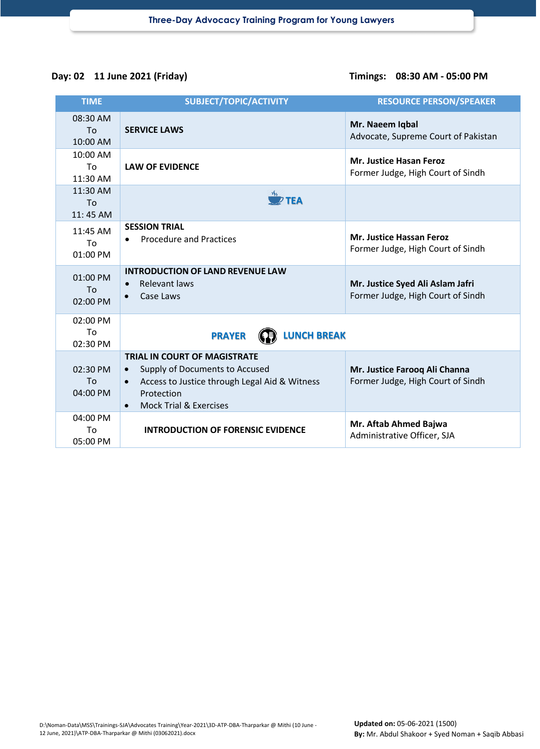## **Day: 02 11 June 2021 (Friday) Timings: 08:30 AM - 05:00 PM**

| <b>TIME</b>                            | SUBJECT/TOPIC/ACTIVITY                                                                                                                                                                              | <b>RESOURCE PERSON/SPEAKER</b>                                        |
|----------------------------------------|-----------------------------------------------------------------------------------------------------------------------------------------------------------------------------------------------------|-----------------------------------------------------------------------|
| 08:30 AM<br>To<br>10:00 AM             | <b>SERVICE LAWS</b>                                                                                                                                                                                 | Mr. Naeem Iqbal<br>Advocate, Supreme Court of Pakistan                |
| 10:00 AM<br>T <sub>Ω</sub><br>11:30 AM | <b>LAW OF EVIDENCE</b>                                                                                                                                                                              | <b>Mr. Justice Hasan Feroz</b><br>Former Judge, High Court of Sindh   |
| 11:30 AM<br>To<br>11:45 AM             | $\overline{\mathscr{D}}$ TEA                                                                                                                                                                        |                                                                       |
| 11:45 AM<br>To<br>01:00 PM             | <b>SESSION TRIAL</b><br><b>Procedure and Practices</b>                                                                                                                                              | <b>Mr. Justice Hassan Feroz</b><br>Former Judge, High Court of Sindh  |
| 01:00 PM<br>To<br>02:00 PM             | <b>INTRODUCTION OF LAND REVENUE LAW</b><br><b>Relevant laws</b><br>$\bullet$<br>Case Laws<br>$\bullet$                                                                                              | Mr. Justice Syed Ali Aslam Jafri<br>Former Judge, High Court of Sindh |
| 02:00 PM<br>To<br>02:30 PM             | <b>LUNCH BREAK</b><br><b>PRAYER</b>                                                                                                                                                                 |                                                                       |
| 02:30 PM<br>To<br>04:00 PM             | <b>TRIAL IN COURT OF MAGISTRATE</b><br>Supply of Documents to Accused<br>$\bullet$<br>Access to Justice through Legal Aid & Witness<br>Protection<br><b>Mock Trial &amp; Exercises</b><br>$\bullet$ | Mr. Justice Farooq Ali Channa<br>Former Judge, High Court of Sindh    |
| 04:00 PM<br>To<br>05:00 PM             | <b>INTRODUCTION OF FORENSIC EVIDENCE</b>                                                                                                                                                            | Mr. Aftab Ahmed Bajwa<br>Administrative Officer, SJA                  |